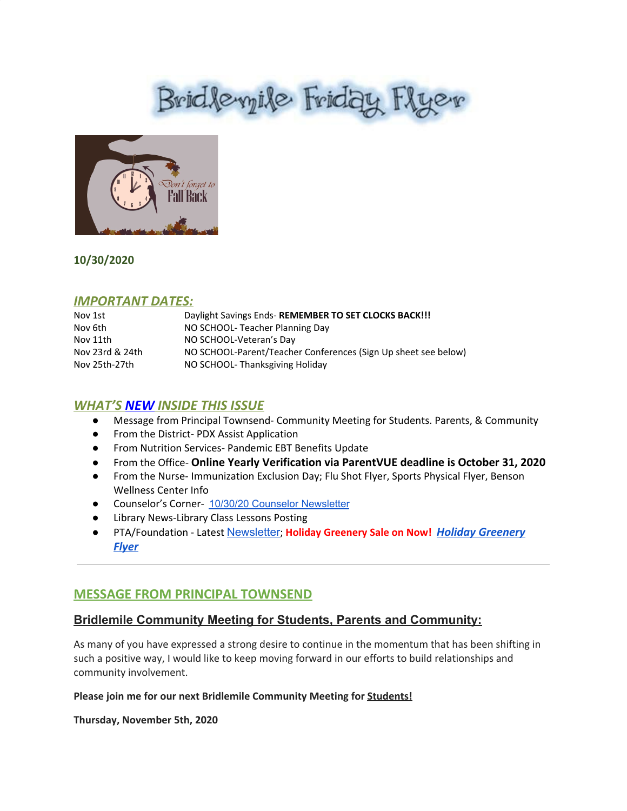# Brid levyile Friday Flyer



# **10/30/2020**

# *IMPORTANT DATES:*

| Nov 1st         | Daylight Savings Ends-REMEMBER TO SET CLOCKS BACK!!!           |
|-----------------|----------------------------------------------------------------|
| Nov 6th         | NO SCHOOL-Teacher Planning Day                                 |
| Nov 11th        | NO SCHOOL-Veteran's Day                                        |
| Nov 23rd & 24th | NO SCHOOL-Parent/Teacher Conferences (Sign Up sheet see below) |
| Nov 25th-27th   | NO SCHOOL-Thanksgiving Holiday                                 |

# *WHAT'S NEW INSIDE THIS ISSUE*

- Message from Principal Townsend- Community Meeting for Students. Parents, & Community
- From the District- PDX Assist Application
- From Nutrition Services- Pandemic EBT Benefits Update
- From the Office- **Online Yearly Verification via ParentVUE deadline is October 31, 2020**
- From the Nurse- Immunization Exclusion Day; Flu Shot Flyer, Sports Physical Flyer, Benson Wellness Center Info
- Counselor's Corner- 10/30/20 Counselor [Newsletter](https://docs.google.com/document/d/1Cbk5UgFgQiOF6f-Fjn1CDpj2fXcCEimnHu6nIOqCyyE/edit?usp=sharing)
- Library News-Library Class Lessons Posting
- PTA/Foundation Latest [Newsletter](https://docs.google.com/document/d/e/2PACX-1vQlZCPHtKxqO7qpJwiwgoeaZ1ERHVLgg6z0JNYJMTulwn7xlOVY_X2I1ZV9nntsGHP57LEZ_uSufaFj/pub); **Holiday Greenery Sale on Now!** *[Holiday Greenery](https://drive.google.com/file/d/1g_49gT35onHsDLB4u8nQCpdPjMHNzuOh/view?usp=sharing) [Flyer](https://drive.google.com/file/d/1g_49gT35onHsDLB4u8nQCpdPjMHNzuOh/view?usp=sharing)*

# **MESSAGE FROM PRINCIPAL TOWNSEND**

# **Bridlemile Community Meeting for Students, Parents and Community:**

As many of you have expressed a strong desire to continue in the momentum that has been shifting in such a positive way, I would like to keep moving forward in our efforts to build relationships and community involvement.

### **Please join me for our next Bridlemile Community Meeting for Students!**

**Thursday, November 5th, 2020**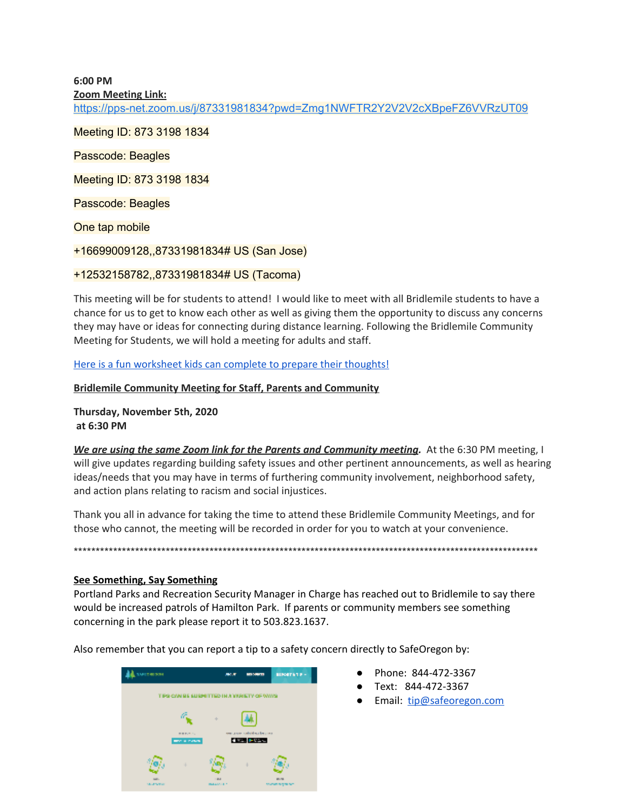**6:00 PM**

**Zoom Meeting Link:**

<https://pps-net.zoom.us/j/87331981834?pwd=Zmg1NWFTR2Y2V2V2cXBpeFZ6VVRzUT09>

Meeting ID: 873 3198 1834

Passcode: Beagles

Meeting ID: 873 3198 1834

Passcode: Beagles

One tap mobile

+16699009128,,87331981834# US (San Jose)

### +12532158782,,87331981834# US (Tacoma)

This meeting will be for students to attend! I would like to meet with all Bridlemile students to have a chance for us to get to know each other as well as giving them the opportunity to discuss any concerns they may have or ideas for connecting during distance learning. Following the Bridlemile Community Meeting for Students, we will hold a meeting for adults and staff.

Here is a fun [worksheet](https://docs.google.com/document/d/1gcQRWODhtz73OyKz9AREUnXbkyHhb5ryRnVZJPYMC8M/edit?usp=sharing) kids can complete to prepare their thoughts!

### **Bridlemile Community Meeting for Staff, Parents and Community**

**Thursday, November 5th, 2020 at 6:30 PM**

*We are using the same Zoom link for the Parents and Community meeting.* At the 6:30 PM meeting, I will give updates regarding building safety issues and other pertinent announcements, as well as hearing ideas/needs that you may have in terms of furthering community involvement, neighborhood safety, and action plans relating to racism and social injustices.

Thank you all in advance for taking the time to attend these Bridlemile Community Meetings, and for those who cannot, the meeting will be recorded in order for you to watch at your convenience.

\*\*\*\*\*\*\*\*\*\*\*\*\*\*\*\*\*\*\*\*\*\*\*\*\*\*\*\*\*\*\*\*\*\*\*\*\*\*\*\*\*\*\*\*\*\*\*\*\*\*\*\*\*\*\*\*\*\*\*\*\*\*\*\*\*\*\*\*\*\*\*\*\*\*\*\*\*\*\*\*\*\*\*\*\*\*\*\*\*\*\*\*\*\*\*\*\*\*\*\*\*\*\*\*\*\*

**See Something, Say Something**

Portland Parks and Recreation Security Manager in Charge has reached out to Bridlemile to say there would be increased patrols of Hamilton Park. If parents or community members see something concerning in the park please report it to 503.823.1637.

Also remember that you can report a tip to a safety concern directly to SafeOregon by:



- Phone: 844-472-3367
- Text: 844-472-3367
- Email: [tip@safeoregon.com](mailto:tip@safeoregon.com)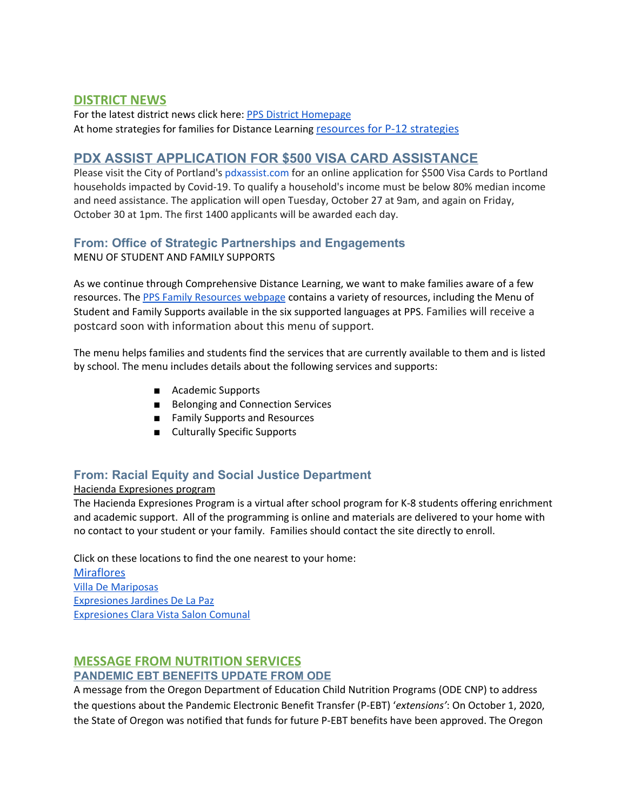# **DISTRICT NEWS**

For the latest district news click here: PPS District [Homepage](https://www.pps.net/portland) At home strategies for families for Distance Learning [resources for P-12 strategies](https://sites.google.com/pps.net/athomestrategies/home)

# **PDX ASSIST APPLICATION FOR \$500 VISA CARD ASSISTANCE**

Please visit the City of Portland's [pdxassist.com](http://pdxassist.com/) for an online application for \$500 Visa Cards to Portland households impacted by Covid-19. To qualify a household's income must be below 80% median income and need assistance. The application will open Tuesday, October 27 at 9am, and again on Friday, October 30 at 1pm. The first 1400 applicants will be awarded each day.

### **From: Office of Strategic Partnerships and Engagements** MENU OF STUDENT AND FAMILY SUPPORTS

As we continue through Comprehensive Distance Learning, we want to make families aware of a few resources. The PPS Family [Resources](https://www.pps.net/familyresources) webpage contains a variety of resources, including the [Menu](https://www.pps.net/cms/lib/OR01913224/Centricity/Domain/4/Fall_RESJ_booklet_09-10-2020.pdf) of Student and Family [Supports](https://www.pps.net/cms/lib/OR01913224/Centricity/Domain/4/Fall_RESJ_booklet_09-10-2020.pdf) available in the six supported languages at PPS. Families will receive a postcard soon with information about this menu of support.

The menu helps families and students find the services that are currently available to them and is listed by school. The menu includes details about the following services and supports:

- Academic Supports
- Belonging and Connection Services
- Family Supports and Resources
- Culturally Specific Supports

# **From: Racial Equity and Social Justice Department**

### Hacienda Expresiones program

The Hacienda Expresiones Program is a virtual after school program for K-8 students offering enrichment and academic support. All of the programming is online and materials are delivered to your home with no contact to your student or your family. Families should contact the site directly to enroll.

Click on these locations to find the one nearest to your home: **[Miraflores](https://drive.google.com/file/d/1QhVWatQ345mhkGhMu4xIiGlG5yUiFu7X/view?usp=sharing)** Villa De [Mariposas](https://drive.google.com/file/d/1RaoHuLXaFQCcxcz1RpDSyl8PrdBriQR_/view?usp=sharing) [Expresiones](https://drive.google.com/file/d/1owBfLCkFImq1ZnMHzT8BdwaUTB2kRZb_/view?usp=sharing) Jardines De La Paz [Expresiones](https://drive.google.com/file/d/1IJmkH8uay9uionc6rQdC7ovui5K5D7ld/view?usp=sharing) Clara Vista Salon Comunal

### **MESSAGE FROM NUTRITION SERVICES PANDEMIC EBT BENEFITS UPDATE FROM ODE**

A message from the Oregon Department of Education Child Nutrition Programs (ODE CNP) to address the questions about the Pandemic Electronic Benefit Transfer (P-EBT) '*extensions'*: On October 1, 2020, the State of Oregon was notified that funds for future P-EBT benefits have been approved. The Oregon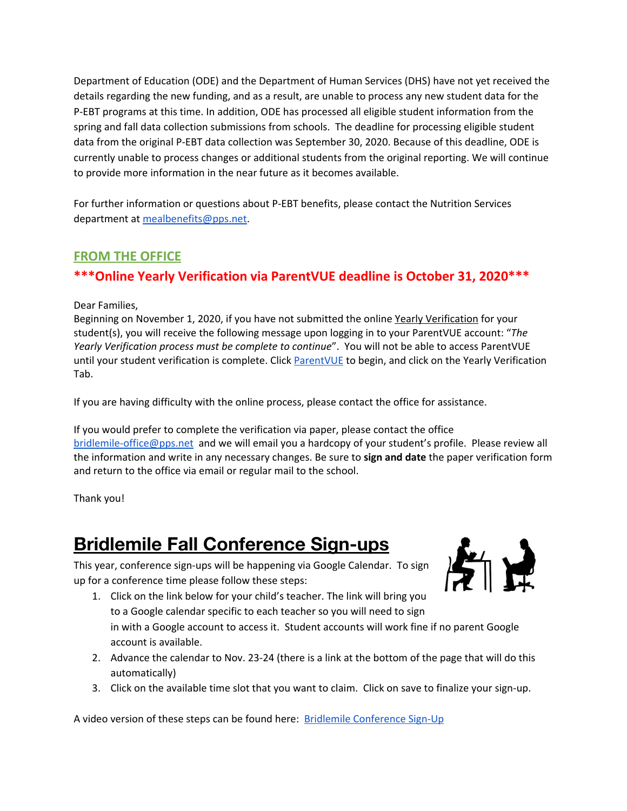Department of Education (ODE) and the Department of Human Services (DHS) have not yet received the details regarding the new funding, and as a result, are unable to process any new student data for the P-EBT programs at this time. In addition, ODE has processed all eligible student information from the spring and fall data collection submissions from schools. The deadline for processing eligible student data from the original P-EBT data collection was September 30, 2020. Because of this deadline, ODE is currently unable to process changes or additional students from the original reporting. We will continue to provide more information in the near future as it becomes available.

For further information or questions about P-EBT benefits, please contact the Nutrition Services department at [mealbenefits@pps.net.](mailto:mealbenefits@pps.net)

# **FROM THE OFFICE**

# **\*\*\*Online Yearly Verification via ParentVUE deadline is October 31, 2020\*\*\***

Dear Families,

Beginning on November 1, 2020, if you have not submitted the online Yearly Verification for your student(s), you will receive the following message upon logging in to your ParentVUE account: "*The Yearly Verification process must be complete to continue*". You will not be able to access ParentVUE until your student verification is complete. Click [ParentVUE](https://www.pps.net/Page/2341) to begin, and click on the Yearly Verification Tab.

If you are having difficulty with the online process, please contact the office for assistance.

If you would prefer to complete the verification via paper, please contact the office [bridlemile-office@pps.net](mailto:bridlemile-office@pps.net) and we will email you a hardcopy of your student's profile. Please review all the information and write in any necessary changes. Be sure to **sign and date** the paper verification form and return to the office via email or regular mail to the school.

Thank you!

# **Bridlemile Fall Conference Sign-ups**

This year, conference sign-ups will be happening via Google Calendar. To sign up for a conference time please follow these steps:



- 1. Click on the link below for your child's teacher. The link will bring you to a Google calendar specific to each teacher so you will need to sign in with a Google account to access it. Student accounts will work fine if no parent Google account is available.
- 2. Advance the calendar to Nov. 23-24 (there is a link at the bottom of the page that will do this automatically)
- 3. Click on the available time slot that you want to claim. Click on save to finalize your sign-up.

A video version of these steps can be found here: Bridlemile [Conference](https://drive.google.com/file/d/1qJ12afpeNdaZ8PdcEeJ7HWXZM4d7waDf/view) Sign-Up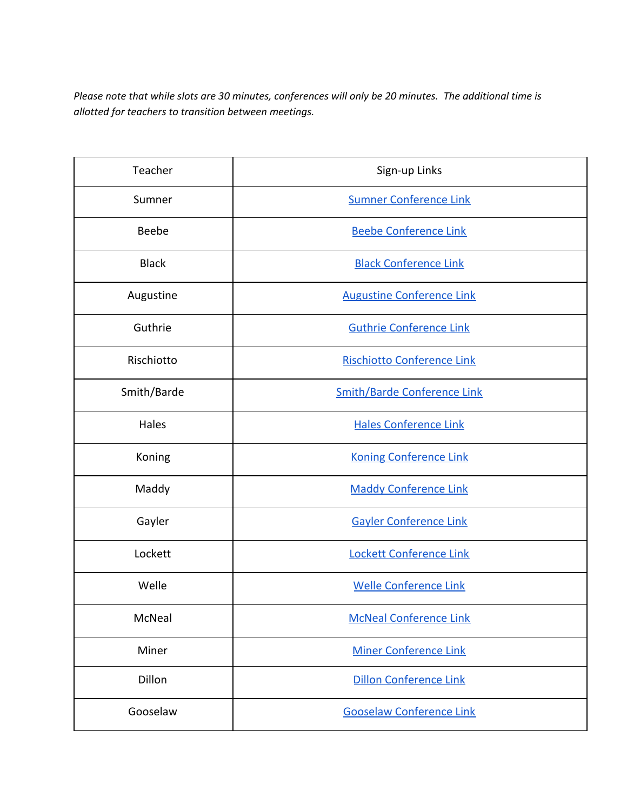Please note that while slots are 30 minutes, conferences will only be 20 minutes. The additional time is *allotted for teachers to transition between meetings.*

| Teacher      | Sign-up Links                      |
|--------------|------------------------------------|
| Sumner       | <b>Sumner Conference Link</b>      |
| <b>Beebe</b> | <b>Beebe Conference Link</b>       |
| <b>Black</b> | <b>Black Conference Link</b>       |
| Augustine    | <b>Augustine Conference Link</b>   |
| Guthrie      | <b>Guthrie Conference Link</b>     |
| Rischiotto   | <b>Rischiotto Conference Link</b>  |
| Smith/Barde  | <b>Smith/Barde Conference Link</b> |
| Hales        | <b>Hales Conference Link</b>       |
| Koning       | <b>Koning Conference Link</b>      |
| Maddy        | <b>Maddy Conference Link</b>       |
| Gayler       | <b>Gayler Conference Link</b>      |
| Lockett      | Lockett Conference Link            |
| Welle        | <b>Welle Conference Link</b>       |
| McNeal       | <b>McNeal Conference Link</b>      |
| Miner        | <b>Miner Conference Link</b>       |
| Dillon       | Dillon Conference Link             |
| Gooselaw     | <b>Gooselaw Conference Link</b>    |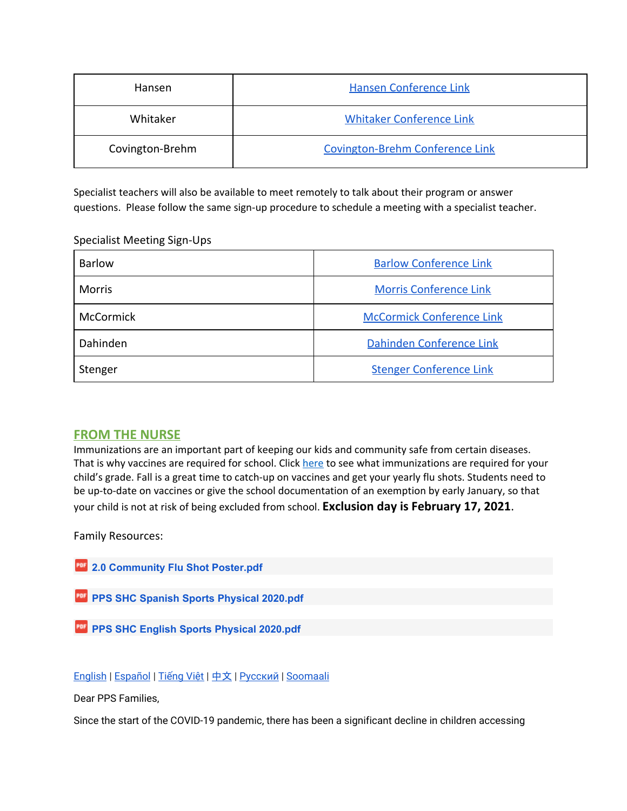| <b>Hansen</b>   | Hansen Conference Link                 |
|-----------------|----------------------------------------|
| Whitaker        | <b>Whitaker Conference Link</b>        |
| Covington-Brehm | <b>Covington-Brehm Conference Link</b> |

Specialist teachers will also be available to meet remotely to talk about their program or answer questions. Please follow the same sign-up procedure to schedule a meeting with a specialist teacher.

### Specialist Meeting Sign-Ups

| Barlow        | <b>Barlow Conference Link</b>    |
|---------------|----------------------------------|
| <b>Morris</b> | <b>Morris Conference Link</b>    |
| McCormick     | <b>McCormick Conference Link</b> |
| Dahinden      | Dahinden Conference Link         |
| Stenger       | <b>Stenger Conference Link</b>   |

### **FROM THE NURSE**

Immunizations are an important part of keeping our kids and community safe from certain diseases. That is why vaccines are required for school. Click [here](https://www.oregon.gov/oha/PH/PREVENTIONWELLNESS/VACCINESIMMUNIZATION/GETTINGIMMUNIZED/Pages/SchRequiredImm.aspx) to see what immunizations are required for your child's grade. Fall is a great time to catch-up on vaccines and get your yearly flu shots. Students need to be up-to-date on vaccines or give the school documentation of an exemption by early January, so that your child is not at risk of being excluded from school. **Exclusion day is February 17, 2021**.

Family Resources:

| <b>2.0 Community Flu Shot Poster.pdf</b>        |  |
|-------------------------------------------------|--|
|                                                 |  |
| <b>PPS SHC Spanish Sports Physical 2020.pdf</b> |  |
|                                                 |  |
| <b>PPS SHC English Sports Physical 2020.pdf</b> |  |

### [English](http://track.spe.schoolmessenger.com/f/a/W1CsaaqJ6MT6x_N98vYV2g~~/AAAAAQA~/RgRhfCozP0RbaHR0cHM6Ly93d3cucHBzLm5ldC9jbXMvbGliL09SMDE5MTMyMjQvQ2VudHJpY2l0eS9Eb21haW4vNzUvSGVhbHRoQ2FyZV8xMC4yOS4yMC1FbmdsaXNoLnBkZlcHc2Nob29sbUIKAEez9ppf4mTUJlIQZGJ1cmxpbmdAcHBzLm5ldFgEAAAAAQ~~) | [Español](http://track.spe.schoolmessenger.com/f/a/HxFxMZweQvWPZLM8ONaEoA~~/AAAAAQA~/RgRhfCozP0RbaHR0cHM6Ly93d3cucHBzLm5ldC9jbXMvbGliL09SMDE5MTMyMjQvQ2VudHJpY2l0eS9Eb21haW4vNzUvSGVhbHRoQ2FyZV8xMC4yOS4yMC1TcGFuaXNoLnBkZlcHc2Nob29sbUIKAEez9ppf4mTUJlIQZGJ1cmxpbmdAcHBzLm5ldFgEAAAAAQ~~) | [Tiếng](http://track.spe.schoolmessenger.com/f/a/aH8m6blQDYgQLrgoI1iygA~~/AAAAAQA~/RgRhfCozP0ReaHR0cHM6Ly93d3cucHBzLm5ldC9jbXMvbGliL09SMDE5MTMyMjQvQ2VudHJpY2l0eS9Eb21haW4vNzUvSGVhbHRoQ2FyZV8xMC4yOS4yMC1WaWV0bmFtZXNlLnBkZlcHc2Nob29sbUIKAEez9ppf4mTUJlIQZGJ1cmxpbmdAcHBzLm5ldFgEAAAAAQ~~) Việt | [中文](http://track.spe.schoolmessenger.com/f/a/SxBdOvEjaes84bBlR53_bw~~/AAAAAQA~/RgRhfCozP0RbaHR0cHM6Ly93d3cucHBzLm5ldC9jbXMvbGliL09SMDE5MTMyMjQvQ2VudHJpY2l0eS9Eb21haW4vNzUvSGVhbHRoQ2FyZV8xMC4yOS4yMC1DaGluZXNlLnBkZlcHc2Nob29sbUIKAEez9ppf4mTUJlIQZGJ1cmxpbmdAcHBzLm5ldFgEAAAAAQ~~) | [Русский](http://track.spe.schoolmessenger.com/f/a/sk7kiGJXPapemkt8h0Pp1w~~/AAAAAQA~/RgRhfCozP0RbaHR0cHM6Ly93d3cucHBzLm5ldC9jbXMvbGliL09SMDE5MTMyMjQvQ2VudHJpY2l0eS9Eb21haW4vNzUvSGVhbHRoQ2FyZV8xMC4yOS4yMC1SdXNzaWFuLnBkZlcHc2Nob29sbUIKAEez9ppf4mTUJlIQZGJ1cmxpbmdAcHBzLm5ldFgEAAAAAQ~~) | [Soomaali](http://track.spe.schoolmessenger.com/f/a/qEnSBFDGGJcQuhmiyfvbLg~~/AAAAAQA~/RgRhfCozP0RaaHR0cHM6Ly93d3cucHBzLm5ldC9jbXMvbGliL09SMDE5MTMyMjQvQ2VudHJpY2l0eS9Eb21haW4vNzUvSGVhbHRoQ2FyZV8xMC4yOS4yMC1Tb21hbGkucGRmVwdzY2hvb2xtQgoAR7P2ml_iZNQmUhBkYnVybGluZ0BwcHMubmV0WAQAAAAB)

Dear PPS Families,

Since the start of the COVID-19 pandemic, there has been a significant decline in children accessing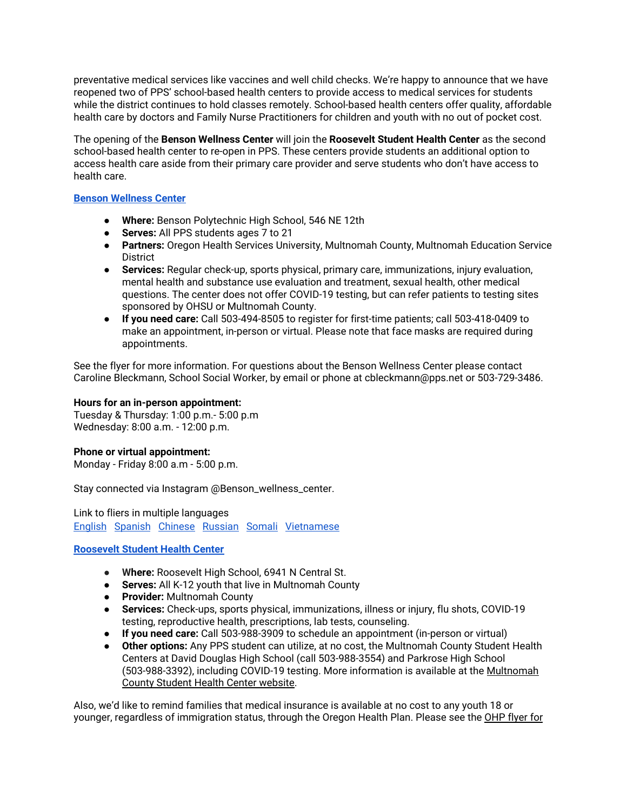preventative medical services like vaccines and well child checks. We're happy to announce that we have reopened two of PPS' school-based health centers to provide access to medical services for students while the district continues to hold classes remotely. School-based health centers offer quality, affordable health care by doctors and Family Nurse Practitioners for children and youth with no out of pocket cost.

The opening of the **Benson Wellness Center** will join the **Roosevelt Student Health Center** as the second school-based health center to re-open in PPS. These centers provide students an additional option to access health care aside from their primary care provider and serve students who don't have access to health care.

### **Benson [Wellness](http://track.spe.schoolmessenger.com/f/a/aQocIvCN-v_RIONufv7ZSw~~/AAAAAQA~/RgRhfCozP0RZaHR0cHM6Ly93d3cucHBzLm5ldC9jbXMvbGliL09SMDE5MTMyMjQvQ2VudHJpY2l0eS9Eb21haW4vNC9iZW5zb25faGVhbHRoX2NlbnRlcl9zaGVldC5wZGZXB3NjaG9vbG1CCgBHs_aaX-Jk1CZSEGRidXJsaW5nQHBwcy5uZXRYBAAAAAE~) Center**

- **Where:** Benson Polytechnic High School, 546 NE 12th
- **Serves:** All PPS students ages 7 to 21
- **Partners:** Oregon Health Services University, Multnomah County, Multnomah Education Service **District**
- **Services:** Regular check-up, sports physical, primary care, immunizations, injury evaluation, mental health and substance use evaluation and treatment, sexual health, other medical questions. The center does not offer COVID-19 testing, but can refer patients to testing sites sponsored by OHSU or Multnomah County.
- **If you need care:** Call 503-494-8505 to register for first-time patients; call 503-418-0409 to make an appointment, in-person or virtual. Please note that face masks are required during appointments.

See the flyer for more information. For questions about the Benson Wellness Center please contact Caroline Bleckmann, School Social Worker, by email or phone at cbleckmann@pps.net or 503-729-3486.

### **Hours for an in-person appointment:**

Tuesday & Thursday: 1:00 p.m.- 5:00 p.m Wednesday: 8:00 a.m. - 12:00 p.m.

### **Phone or virtual appointment:**

Monday - Friday 8:00 a.m - 5:00 p.m.

Stay connected via Instagram @Benson\_wellness\_center.

Link to fliers in multiple languages [English](https://drive.google.com/file/d/1r1q9_SoV_l9j7cb5N3lcyaE6ygeiqEwq/view?usp=sharing) [Spanish](https://drive.google.com/file/d/1_HDfzaf_h2xEItUqw2b0qpBxLH-PS__x/view?usp=sharing) [Chinese](https://drive.google.com/file/d/1IiKfBYeS6cJGbQpeYJO20cFCQ55p4q9Z/view?usp=sharing) [Russian](https://drive.google.com/file/d/1lZAyuraWtB8aPchjx-vC6Sr16ly-mtiX/view?usp=sharing) [Somali](https://drive.google.com/file/d/15dYmgZ_vp1JeYGyK8Jugd4JG6BOETcPW/view?usp=sharing) [Vietnamese](https://drive.google.com/file/d/1hlWvLZ1oy-oIBkFkU9ParLeHzCojVdVT/view?usp=sharing)

#### **[Roosevelt](http://track.spe.schoolmessenger.com/f/a/eRD5kcIxOD34UZmdh-aPrA~~/AAAAAQA~/RgRhfCozP0RUaHR0cHM6Ly93d3cucHBzLm5ldC9jbXMvbGliL09SMDE5MTMyMjQvQ2VudHJpY2l0eS9Eb21haW4vNC9TdHVkZW50SGVhbHRoLUVuZ2xpc2gucGRmVwdzY2hvb2xtQgoAR7P2ml_iZNQmUhBkYnVybGluZ0BwcHMubmV0WAQAAAAB) Student Health Center**

- **Where:** Roosevelt High School, 6941 N Central St.
- **Serves:** All K-12 youth that live in Multnomah County
- **Provider:** Multnomah County
- **Services:** Check-ups, sports physical, immunizations, illness or injury, flu shots, COVID-19 testing, reproductive health, prescriptions, lab tests, counseling.
- **If you need care:** Call 503-988-3909 to schedule an appointment (in-person or virtual)
- **Other options:** Any PPS student can utilize, at no cost, the Multnomah County Student Health Centers at David Douglas High School (call 503-988-3554) and Parkrose High School (503-988-3392), including COVID-19 testing. More information is available at the [Multnomah](http://track.spe.schoolmessenger.com/f/a/Jf3-HMhiAt88RnkHNCsJlg~~/AAAAAQA~/RgRhfCozP0QvaHR0cHM6Ly9tdWx0Y28udXMvaGVhbHRoL3N0dWRlbnQtaGVhbHRoLWNlbnRlcnNXB3NjaG9vbG1CCgBHs_aaX-Jk1CZSEGRidXJsaW5nQHBwcy5uZXRYBAAAAAE~) County Student Health Center [website.](http://track.spe.schoolmessenger.com/f/a/Jf3-HMhiAt88RnkHNCsJlg~~/AAAAAQA~/RgRhfCozP0QvaHR0cHM6Ly9tdWx0Y28udXMvaGVhbHRoL3N0dWRlbnQtaGVhbHRoLWNlbnRlcnNXB3NjaG9vbG1CCgBHs_aaX-Jk1CZSEGRidXJsaW5nQHBwcy5uZXRYBAAAAAE~)

Also, we'd like to remind families that medical insurance is available at no cost to any youth 18 or younger, regardless of immigration status, through the Oregon Health Plan. Please see the [OHP](http://track.spe.schoolmessenger.com/f/a/xbdxo8Z2j32ygUz3v7jatg~~/AAAAAQA~/RgRhfCozP0RsaHR0cHM6Ly93d3cucHBzLm5ldC9jbXMvbGliL09SMDE5MTMyMjQvQ2VudHJpY2l0eS9Eb21haW4vNC9CYWNrX3RvX1NjaG9vbC1PSFBfT0hJTV9IZWFsdGhfQ292ZXJhZ2VfRmxpZXIucGRmVwdzY2hvb2xtQgoAR7P2ml_iZNQmUhBkYnVybGluZ0BwcHMubmV0WAQAAAAB) flyer for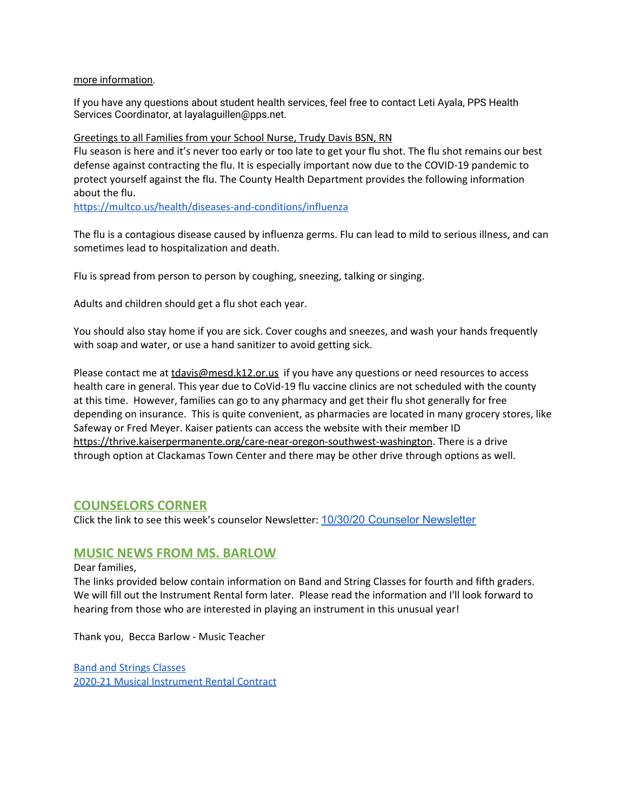### more [information](http://track.spe.schoolmessenger.com/f/a/xbdxo8Z2j32ygUz3v7jatg~~/AAAAAQA~/RgRhfCozP0RsaHR0cHM6Ly93d3cucHBzLm5ldC9jbXMvbGliL09SMDE5MTMyMjQvQ2VudHJpY2l0eS9Eb21haW4vNC9CYWNrX3RvX1NjaG9vbC1PSFBfT0hJTV9IZWFsdGhfQ292ZXJhZ2VfRmxpZXIucGRmVwdzY2hvb2xtQgoAR7P2ml_iZNQmUhBkYnVybGluZ0BwcHMubmV0WAQAAAAB).

If you have any questions about student health services, feel free to contact Leti Ayala, PPS Health Services Coordinator, at layalaguillen@pps.net.

Greetings to all Families from your School Nurse, Trudy Davis BSN, RN Flu season is here and it's never too early or too late to get your flu shot. The flu shot remains our best defense against contracting the flu. It is especially important now due to the COVID-19 pandemic to protect yourself against the flu. The County Health Department provides the following information about the flu.

<https://multco.us/health/diseases-and-conditions/influenza>

The flu is a contagious disease caused by influenza germs. Flu can lead to mild to serious illness, and can sometimes lead to hospitalization and death.

Flu is spread from person to person by coughing, sneezing, talking or singing.

Adults and children should get a flu shot each year.

You should also stay home if you are sick. Cover coughs and sneezes, and wash your hands frequently with soap and water, or use a hand sanitizer to avoid getting sick.

Please contact me at [tdavis@mesd.k12.or.us](mailto:tdavis@mesd.k12.or.us) if you have any questions or need resources to access health care in general. This year due to CoVid-19 flu vaccine clinics are not scheduled with the county at this time. However, families can go to any pharmacy and get their flu shot generally for free depending on insurance. This is quite convenient, as pharmacies are located in many grocery stores, like Safeway or Fred Meyer. Kaiser patients can access the website with their member ID <https://thrive.kaiserpermanente.org/care-near-oregon-southwest-washington>. There is a drive through option at Clackamas Town Center and there may be other drive through options as well.

### **COUNSELORS CORNER**

Click the link to see this week's counselor Newsletter: 10/30/20 Counselor [Newsletter](https://docs.google.com/document/d/1Cbk5UgFgQiOF6f-Fjn1CDpj2fXcCEimnHu6nIOqCyyE/edit?usp=sharing)

# **MUSIC NEWS FROM MS. BARLOW**

Dear families,

The links provided below contain information on Band and String Classes for fourth and fifth graders. We will fill out the Instrument Rental form later. Please read the information and I'll look forward to hearing from those who are interested in playing an instrument in this unusual year!

Thank you, Becca Barlow - Music Teacher

Band and Strings [Classes](https://docs.google.com/document/d/1RudqyICA4FF6QSbj7ZVZA4uqzmfTveofDVhPiAg3EQs/edit?usp=sharing) 2020-21 Musical [Instrument](https://drive.google.com/file/d/10xQsqepipMG23HuZRGRRJFCqNq1t2WAW/view?usp=sharing) Rental Contract